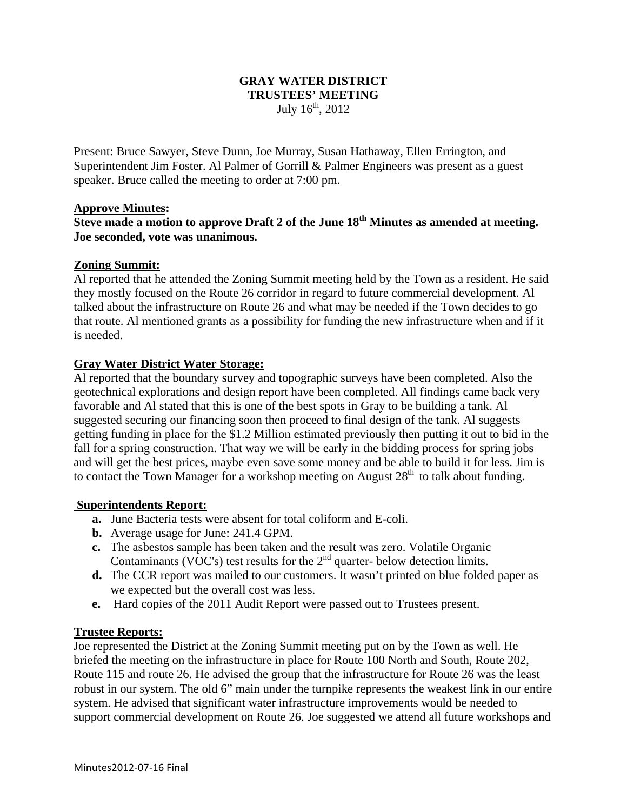## **GRAY WATER DISTRICT TRUSTEES' MEETING**  July  $16^{th}$ , 2012

Present: Bruce Sawyer, Steve Dunn, Joe Murray, Susan Hathaway, Ellen Errington, and Superintendent Jim Foster. Al Palmer of Gorrill & Palmer Engineers was present as a guest speaker. Bruce called the meeting to order at 7:00 pm.

#### **Approve Minutes:**

# **Steve made a motion to approve Draft 2 of the June 18th Minutes as amended at meeting. Joe seconded, vote was unanimous.**

## **Zoning Summit:**

Al reported that he attended the Zoning Summit meeting held by the Town as a resident. He said they mostly focused on the Route 26 corridor in regard to future commercial development. Al talked about the infrastructure on Route 26 and what may be needed if the Town decides to go that route. Al mentioned grants as a possibility for funding the new infrastructure when and if it is needed.

## **Gray Water District Water Storage:**

Al reported that the boundary survey and topographic surveys have been completed. Also the geotechnical explorations and design report have been completed. All findings came back very favorable and Al stated that this is one of the best spots in Gray to be building a tank. Al suggested securing our financing soon then proceed to final design of the tank. Al suggests getting funding in place for the \$1.2 Million estimated previously then putting it out to bid in the fall for a spring construction. That way we will be early in the bidding process for spring jobs and will get the best prices, maybe even save some money and be able to build it for less. Jim is to contact the Town Manager for a workshop meeting on August  $28<sup>th</sup>$  to talk about funding.

#### **Superintendents Report:**

- **a.** June Bacteria tests were absent for total coliform and E-coli.
- **b.** Average usage for June: 241.4 GPM.
- **c.** The asbestos sample has been taken and the result was zero. Volatile Organic Contaminants (VOC's) test results for the  $2<sup>nd</sup>$  quarter- below detection limits.
- **d.** The CCR report was mailed to our customers. It wasn't printed on blue folded paper as we expected but the overall cost was less.
- **e.** Hard copies of the 2011 Audit Report were passed out to Trustees present.

## **Trustee Reports:**

Joe represented the District at the Zoning Summit meeting put on by the Town as well. He briefed the meeting on the infrastructure in place for Route 100 North and South, Route 202, Route 115 and route 26. He advised the group that the infrastructure for Route 26 was the least robust in our system. The old 6" main under the turnpike represents the weakest link in our entire system. He advised that significant water infrastructure improvements would be needed to support commercial development on Route 26. Joe suggested we attend all future workshops and